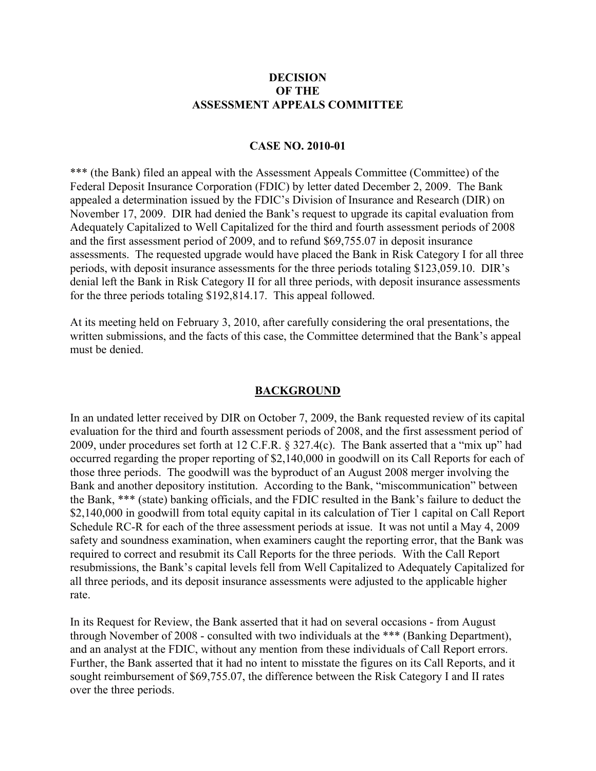### **DECISION OF THE ASSESSMENT APPEALS COMMITTEE**

#### **CASE NO. 2010-01**

\*\*\* (the Bank) filed an appeal with the Assessment Appeals Committee (Committee) of the Federal Deposit Insurance Corporation (FDIC) by letter dated December 2, 2009. The Bank appealed a determination issued by the FDIC's Division of Insurance and Research (DIR) on November 17, 2009. DIR had denied the Bank's request to upgrade its capital evaluation from Adequately Capitalized to Well Capitalized for the third and fourth assessment periods of 2008 and the first assessment period of 2009, and to refund \$69,755.07 in deposit insurance assessments. The requested upgrade would have placed the Bank in Risk Category I for all three periods, with deposit insurance assessments for the three periods totaling \$123,059.10. DIR's denial left the Bank in Risk Category II for all three periods, with deposit insurance assessments for the three periods totaling \$192,814.17. This appeal followed.

At its meeting held on February 3, 2010, after carefully considering the oral presentations, the written submissions, and the facts of this case, the Committee determined that the Bank's appeal must be denied.

#### **BACKGROUND**

In an undated letter received by DIR on October 7, 2009, the Bank requested review of its capital evaluation for the third and fourth assessment periods of 2008, and the first assessment period of 2009, under procedures set forth at 12 C.F.R. § 327.4(c). The Bank asserted that a "mix up" had occurred regarding the proper reporting of \$2,140,000 in goodwill on its Call Reports for each of those three periods. The goodwill was the byproduct of an August 2008 merger involving the Bank and another depository institution. According to the Bank, "miscommunication" between the Bank, \*\*\* (state) banking officials, and the FDIC resulted in the Bank's failure to deduct the \$2,140,000 in goodwill from total equity capital in its calculation of Tier 1 capital on Call Report Schedule RC-R for each of the three assessment periods at issue. It was not until a May 4, 2009 safety and soundness examination, when examiners caught the reporting error, that the Bank was required to correct and resubmit its Call Reports for the three periods. With the Call Report resubmissions, the Bank's capital levels fell from Well Capitalized to Adequately Capitalized for all three periods, and its deposit insurance assessments were adjusted to the applicable higher rate.

In its Request for Review, the Bank asserted that it had on several occasions - from August through November of 2008 - consulted with two individuals at the \*\*\* (Banking Department), and an analyst at the FDIC, without any mention from these individuals of Call Report errors. Further, the Bank asserted that it had no intent to misstate the figures on its Call Reports, and it sought reimbursement of \$69,755.07, the difference between the Risk Category I and II rates over the three periods.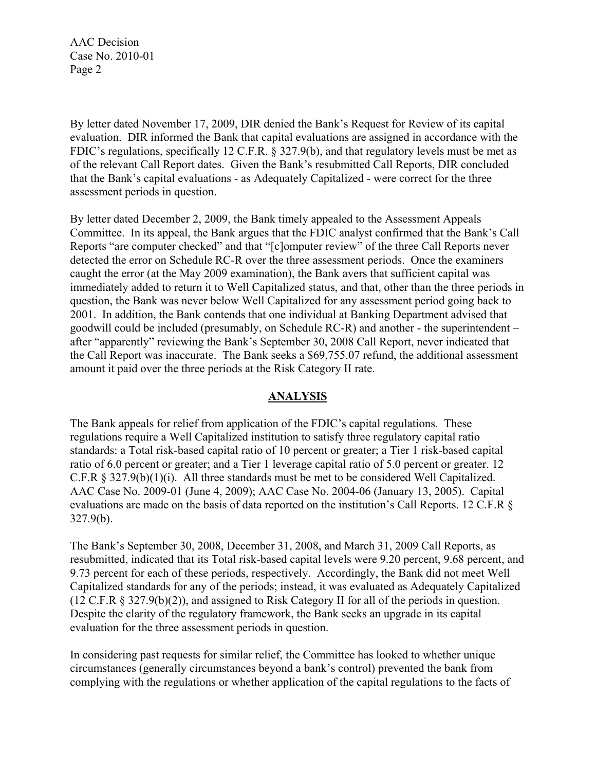By letter dated November 17, 2009, DIR denied the Bank's Request for Review of its capital evaluation. DIR informed the Bank that capital evaluations are assigned in accordance with the FDIC's regulations, specifically 12 C.F.R. § 327.9(b), and that regulatory levels must be met as of the relevant Call Report dates. Given the Bank's resubmitted Call Reports, DIR concluded that the Bank's capital evaluations - as Adequately Capitalized - were correct for the three assessment periods in question.

By letter dated December 2, 2009, the Bank timely appealed to the Assessment Appeals Committee. In its appeal, the Bank argues that the FDIC analyst confirmed that the Bank's Call Reports "are computer checked" and that "[c]omputer review" of the three Call Reports never detected the error on Schedule RC-R over the three assessment periods. Once the examiners caught the error (at the May 2009 examination), the Bank avers that sufficient capital was immediately added to return it to Well Capitalized status, and that, other than the three periods in question, the Bank was never below Well Capitalized for any assessment period going back to 2001. In addition, the Bank contends that one individual at Banking Department advised that goodwill could be included (presumably, on Schedule RC-R) and another - the superintendent – after "apparently" reviewing the Bank's September 30, 2008 Call Report, never indicated that the Call Report was inaccurate. The Bank seeks a \$69,755.07 refund, the additional assessment amount it paid over the three periods at the Risk Category II rate.

## **ANALYSIS**

The Bank appeals for relief from application of the FDIC's capital regulations. These regulations require a Well Capitalized institution to satisfy three regulatory capital ratio standards: a Total risk-based capital ratio of 10 percent or greater; a Tier 1 risk-based capital ratio of 6.0 percent or greater; and a Tier 1 leverage capital ratio of 5.0 percent or greater. 12 C.F.R § 327.9(b)(1)(i). All three standards must be met to be considered Well Capitalized. AAC Case No. 2009-01 (June 4, 2009); AAC Case No. 2004-06 (January 13, 2005). Capital evaluations are made on the basis of data reported on the institution's Call Reports. 12 C.F.R § 327.9(b).

The Bank's September 30, 2008, December 31, 2008, and March 31, 2009 Call Reports, as resubmitted, indicated that its Total risk-based capital levels were 9.20 percent, 9.68 percent, and 9.73 percent for each of these periods, respectively. Accordingly, the Bank did not meet Well Capitalized standards for any of the periods; instead, it was evaluated as Adequately Capitalized (12 C.F.R § 327.9(b)(2)), and assigned to Risk Category II for all of the periods in question. Despite the clarity of the regulatory framework, the Bank seeks an upgrade in its capital evaluation for the three assessment periods in question.

In considering past requests for similar relief, the Committee has looked to whether unique circumstances (generally circumstances beyond a bank's control) prevented the bank from complying with the regulations or whether application of the capital regulations to the facts of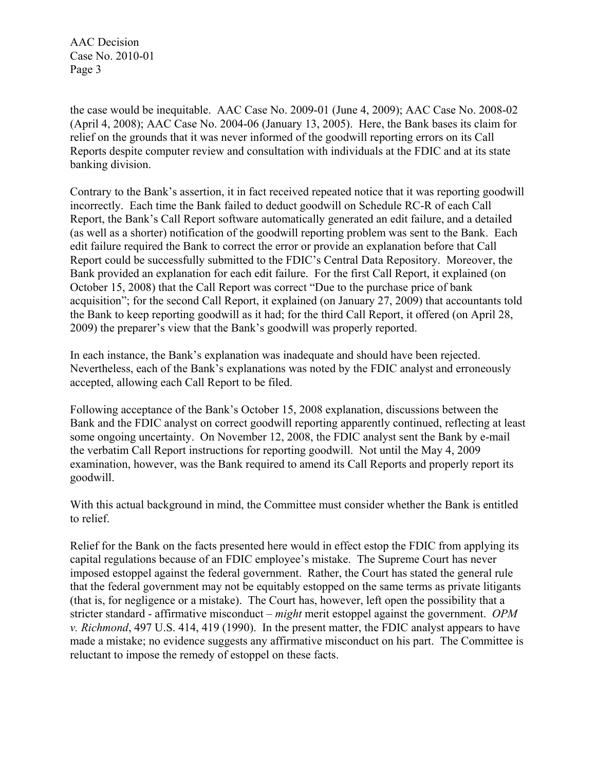the case would be inequitable. AAC Case No. 2009-01 (June 4, 2009); AAC Case No. 2008-02 (April 4, 2008); AAC Case No. 2004-06 (January 13, 2005). Here, the Bank bases its claim for relief on the grounds that it was never informed of the goodwill reporting errors on its Call Reports despite computer review and consultation with individuals at the FDIC and at its state banking division.

Contrary to the Bank's assertion, it in fact received repeated notice that it was reporting goodwill incorrectly. Each time the Bank failed to deduct goodwill on Schedule RC-R of each Call Report, the Bank's Call Report software automatically generated an edit failure, and a detailed (as well as a shorter) notification of the goodwill reporting problem was sent to the Bank. Each edit failure required the Bank to correct the error or provide an explanation before that Call Report could be successfully submitted to the FDIC's Central Data Repository. Moreover, the Bank provided an explanation for each edit failure. For the first Call Report, it explained (on October 15, 2008) that the Call Report was correct "Due to the purchase price of bank acquisition"; for the second Call Report, it explained (on January 27, 2009) that accountants told the Bank to keep reporting goodwill as it had; for the third Call Report, it offered (on April 28, 2009) the preparer's view that the Bank's goodwill was properly reported.

In each instance, the Bank's explanation was inadequate and should have been rejected. Nevertheless, each of the Bank's explanations was noted by the FDIC analyst and erroneously accepted, allowing each Call Report to be filed.

Following acceptance of the Bank's October 15, 2008 explanation, discussions between the Bank and the FDIC analyst on correct goodwill reporting apparently continued, reflecting at least some ongoing uncertainty. On November 12, 2008, the FDIC analyst sent the Bank by e-mail the verbatim Call Report instructions for reporting goodwill. Not until the May 4, 2009 examination, however, was the Bank required to amend its Call Reports and properly report its goodwill.

With this actual background in mind, the Committee must consider whether the Bank is entitled to relief.

Relief for the Bank on the facts presented here would in effect estop the FDIC from applying its capital regulations because of an FDIC employee's mistake. The Supreme Court has never imposed estoppel against the federal government. Rather, the Court has stated the general rule that the federal government may not be equitably estopped on the same terms as private litigants (that is, for negligence or a mistake). The Court has, however, left open the possibility that a stricter standard - affirmative misconduct – *might* merit estoppel against the government. *OPM v. Richmond*, 497 U.S. 414, 419 (1990). In the present matter, the FDIC analyst appears to have made a mistake; no evidence suggests any affirmative misconduct on his part. The Committee is reluctant to impose the remedy of estoppel on these facts.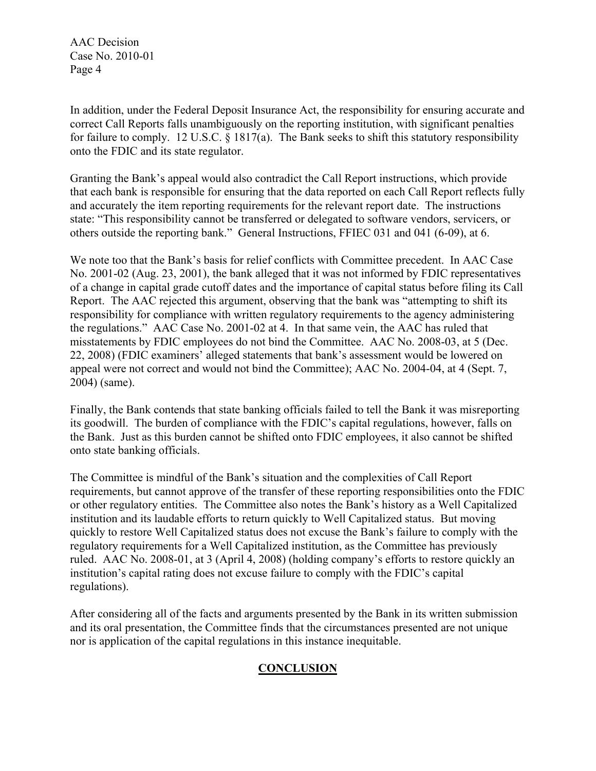In addition, under the Federal Deposit Insurance Act, the responsibility for ensuring accurate and correct Call Reports falls unambiguously on the reporting institution, with significant penalties for failure to comply. 12 U.S.C. § 1817(a). The Bank seeks to shift this statutory responsibility onto the FDIC and its state regulator.

Granting the Bank's appeal would also contradict the Call Report instructions, which provide that each bank is responsible for ensuring that the data reported on each Call Report reflects fully and accurately the item reporting requirements for the relevant report date. The instructions state: "This responsibility cannot be transferred or delegated to software vendors, servicers, or others outside the reporting bank." General Instructions, FFIEC 031 and 041 (6-09), at 6.

We note too that the Bank's basis for relief conflicts with Committee precedent. In AAC Case No. 2001-02 (Aug. 23, 2001), the bank alleged that it was not informed by FDIC representatives of a change in capital grade cutoff dates and the importance of capital status before filing its Call Report. The AAC rejected this argument, observing that the bank was "attempting to shift its responsibility for compliance with written regulatory requirements to the agency administering the regulations." AAC Case No. 2001-02 at 4. In that same vein, the AAC has ruled that misstatements by FDIC employees do not bind the Committee. AAC No. 2008-03, at 5 (Dec. 22, 2008) (FDIC examiners' alleged statements that bank's assessment would be lowered on appeal were not correct and would not bind the Committee); AAC No. 2004-04, at 4 (Sept. 7, 2004) (same).

Finally, the Bank contends that state banking officials failed to tell the Bank it was misreporting its goodwill. The burden of compliance with the FDIC's capital regulations, however, falls on the Bank. Just as this burden cannot be shifted onto FDIC employees, it also cannot be shifted onto state banking officials.

The Committee is mindful of the Bank's situation and the complexities of Call Report requirements, but cannot approve of the transfer of these reporting responsibilities onto the FDIC or other regulatory entities. The Committee also notes the Bank's history as a Well Capitalized institution and its laudable efforts to return quickly to Well Capitalized status. But moving quickly to restore Well Capitalized status does not excuse the Bank's failure to comply with the regulatory requirements for a Well Capitalized institution, as the Committee has previously ruled. AAC No. 2008-01, at 3 (April 4, 2008) (holding company's efforts to restore quickly an institution's capital rating does not excuse failure to comply with the FDIC's capital regulations).

After considering all of the facts and arguments presented by the Bank in its written submission and its oral presentation, the Committee finds that the circumstances presented are not unique nor is application of the capital regulations in this instance inequitable.

# **CONCLUSION**